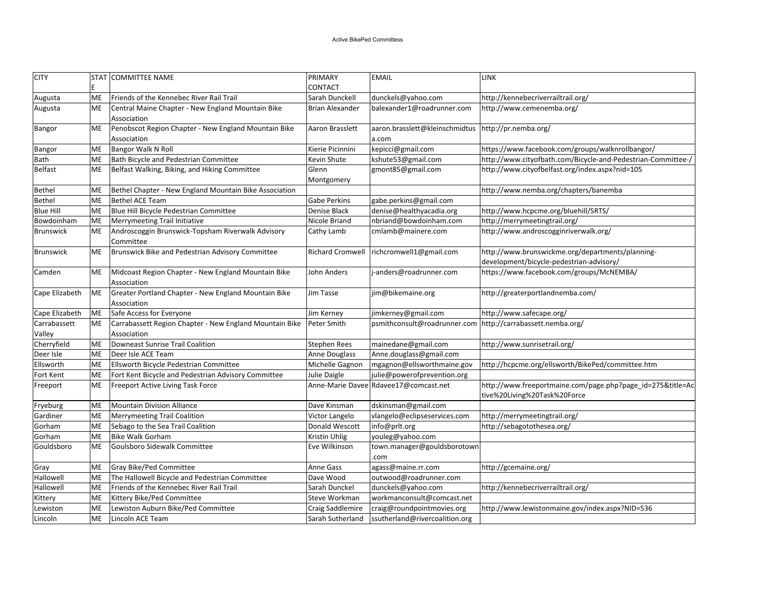| <b>CITY</b>      |           | STAT COMMITTEE NAME                                                 | PRIMARY                 | <b>EMAIL</b>                                                  | LINK                                                                                       |
|------------------|-----------|---------------------------------------------------------------------|-------------------------|---------------------------------------------------------------|--------------------------------------------------------------------------------------------|
|                  |           |                                                                     | <b>CONTACT</b>          |                                                               |                                                                                            |
| Augusta          | ME        | Friends of the Kennebec River Rail Trail                            | Sarah Dunckell          | dunckels@yahoo.com                                            | http://kennebecriverrailtrail.org/                                                         |
| Augusta          | ME        | Central Maine Chapter - New England Mountain Bike                   | <b>Brian Alexander</b>  | balexander1@roadrunner.com                                    | http://www.cemenemba.org/                                                                  |
|                  |           | Association                                                         |                         |                                                               |                                                                                            |
| Bangor           | ME        | Penobscot Region Chapter - New England Mountain Bike                | Aaron Brasslett         | aaron.brasslett@kleinschmidtus                                | http://pr.nemba.org/                                                                       |
|                  |           | Association                                                         |                         | a.com                                                         |                                                                                            |
| Bangor           | ME        | Bangor Walk N Roll                                                  | Kierie Picinnini        | kepicci@gmail.com                                             | https://www.facebook.com/groups/walknrollbangor/                                           |
| Bath             | ME        | Bath Bicycle and Pedestrian Committee                               | Kevin Shute             | kshute53@gmail.com                                            | http://www.cityofbath.com/Bicycle-and-Pedestrian-Committee-/                               |
| <b>Belfast</b>   | <b>ME</b> | Belfast Walking, Biking, and Hiking Committee                       | Glenn                   | gmont85@gmail.com                                             | http://www.cityofbelfast.org/index.aspx?nid=105                                            |
|                  |           |                                                                     | Montgomery              |                                                               |                                                                                            |
| <b>Bethel</b>    | ME        | Bethel Chapter - New England Mountain Bike Association              |                         |                                                               | http://www.nemba.org/chapters/banemba                                                      |
| Bethel           | ME        | Bethel ACE Team                                                     | Gabe Perkins            | gabe.perkins@gmail.com                                        |                                                                                            |
| Blue Hill        | ME        | Blue Hill Bicycle Pedestrian Committee                              | Denise Black            | denise@healthyacadia.org                                      | http://www.hcpcme.org/bluehill/SRTS/                                                       |
| Bowdoinham       | ME        | Merrymeeting Trail Initiative                                       | Nicole Briand           | nbriand@bowdoinham.com                                        | http://merrymeetingtrail.org/                                                              |
| <b>Brunswick</b> | <b>ME</b> | Androscoggin Brunswick-Topsham Riverwalk Advisory<br>Committee      | Cathy Lamb              | cmlamb@mainere.com                                            | http://www.androscogginriverwalk.org/                                                      |
| <b>Brunswick</b> | ME        | Brunswick Bike and Pedestrian Advisory Committee                    | <b>Richard Cromwell</b> | richcromwell1@gmail.com                                       | http://www.brunswickme.org/departments/planning-                                           |
|                  |           |                                                                     |                         |                                                               | development/bicycle-pedestrian-advisory/                                                   |
| Camden           | ME        | Midcoast Region Chapter - New England Mountain Bike<br>Association  | John Anders             | j-anders@roadrunner.com                                       | https://www.facebook.com/groups/McNEMBA/                                                   |
| Cape Elizabeth   | ME        | Greater Portland Chapter - New England Mountain Bike<br>Association | Jim Tasse               | jim@bikemaine.org                                             | http://greaterportlandnemba.com/                                                           |
| Cape Elizabeth   | ME        | Safe Access for Everyone                                            | Jim Kerney              | jimkerney@gmail.com                                           | http://www.safecape.org/                                                                   |
| Carrabassett     | ME        | Carrabassett Region Chapter - New England Mountain Bike             | Peter Smith             | psmithconsult@roadrunner.com   http://carrabassett.nemba.org/ |                                                                                            |
| Valley           |           | Association                                                         |                         |                                                               |                                                                                            |
| Cherryfield      | ME        | Downeast Sunrise Trail Coalition                                    | Stephen Rees            | mainedane@gmail.com                                           | http://www.sunrisetrail.org/                                                               |
| Deer Isle        | ME        | Deer Isle ACE Team                                                  | Anne Douglass           | Anne.douglass@gmail.com                                       |                                                                                            |
| Ellsworth        | ME        | Ellsworth Bicycle Pedestrian Committee                              | Michelle Gagnon         | mgagnon@ellsworthmaine.gov                                    | http://hcpcme.org/ellsworth/BikePed/committee.htm                                          |
| Fort Kent        | ME        | Fort Kent Bicycle and Pedestrian Advisory Committee                 | Julie Daigle            | julie@powerofprevention.org                                   |                                                                                            |
| Freeport         | ME        | Freeport Active Living Task Force                                   |                         | Anne-Marie Davee Rdavee17@comcast.net                         | http://www.freeportmaine.com/page.php?page_id=275&title=Ac<br>tive%20Living%20Task%20Force |
| Fryeburg         | ME        | Mountain Division Alliance                                          | Dave Kinsman            | dskinsman@gmail.com                                           |                                                                                            |
| Gardiner         | ME        | Merrymeeting Trail Coalition                                        | Victor Langelo          | vlangelo@eclipseservices.com                                  | http://merrymeetingtrail.org/                                                              |
| Gorham           | ME        | Sebago to the Sea Trail Coalition                                   | Donald Wescott          | info@prlt.org                                                 | http://sebagotothesea.org/                                                                 |
| Gorham           | ME        | Bike Walk Gorham                                                    | <b>Kristin Uhlig</b>    | youleg@yahoo.com                                              |                                                                                            |
| Gouldsboro       | ME        | Goulsboro Sidewalk Committee                                        | Eve Wilkinson           | town.manager@gouldsborotown<br>com                            |                                                                                            |
| Gray             | ME        | Gray Bike/Ped Committee                                             | Anne Gass               | agass@maine.rr.com                                            | http://gcemaine.org/                                                                       |
| Hallowell        | ME        | The Hallowell Bicycle and Pedestrian Committee                      | Dave Wood               | outwood@roadrunner.com                                        |                                                                                            |
| Hallowell        | ME        | Friends of the Kennebec River Rail Trail                            | Sarah Dunckel           | dunckels@yahoo.com                                            | http://kennebecriverrailtrail.org/                                                         |
| Kittery          | ME        | Kittery Bike/Ped Committee                                          | Steve Workman           | workmanconsult@comcast.net                                    |                                                                                            |
| Lewiston         | ME        | Lewiston Auburn Bike/Ped Committee                                  | Craig Saddlemire        | craig@roundpointmovies.org                                    | http://www.lewistonmaine.gov/index.aspx?NID=536                                            |
| Lincoln          | ME        | Lincoln ACE Team                                                    | Sarah Sutherland        | ssutherland@rivercoalition.org                                |                                                                                            |